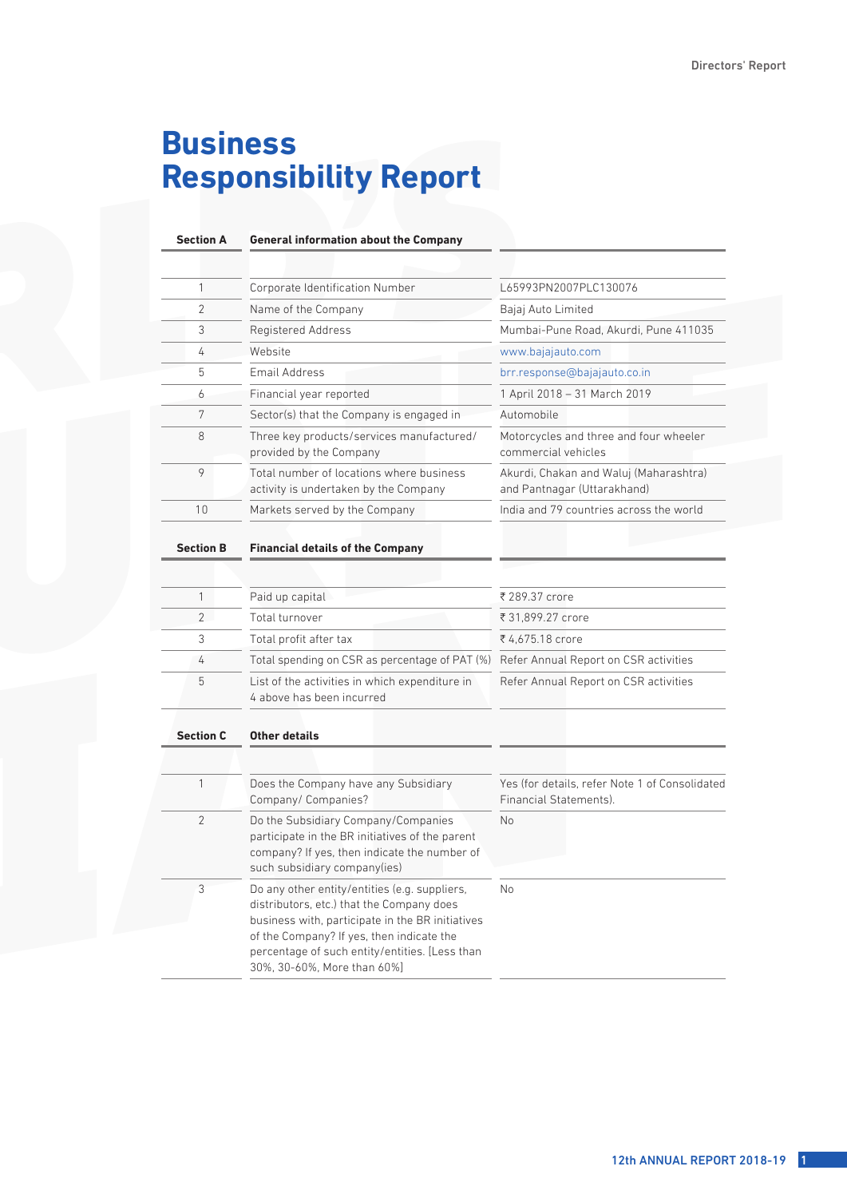# **Business Responsibility Report**

| <b>Section A</b> | <b>General information about the Company</b>                                                                                                                                                                                                                                 |                                                                          |
|------------------|------------------------------------------------------------------------------------------------------------------------------------------------------------------------------------------------------------------------------------------------------------------------------|--------------------------------------------------------------------------|
|                  |                                                                                                                                                                                                                                                                              |                                                                          |
| 1                | Corporate Identification Number                                                                                                                                                                                                                                              | L65993PN2007PLC130076                                                    |
| 2                | Name of the Company                                                                                                                                                                                                                                                          | Bajaj Auto Limited                                                       |
| 3                | Registered Address                                                                                                                                                                                                                                                           | Mumbai-Pune Road, Akurdi, Pune 411035                                    |
| 4                | Website                                                                                                                                                                                                                                                                      | www.bajajauto.com                                                        |
| 5                | Email Address                                                                                                                                                                                                                                                                | brr.response@bajajauto.co.in                                             |
| 6                | Financial year reported                                                                                                                                                                                                                                                      | 1 April 2018 - 31 March 2019                                             |
| 7                | Sector(s) that the Company is engaged in                                                                                                                                                                                                                                     | Automobile                                                               |
| 8                | Three key products/services manufactured/<br>provided by the Company                                                                                                                                                                                                         | Motorcycles and three and four wheeler<br>commercial vehicles            |
| 9                | Total number of locations where business<br>activity is undertaken by the Company                                                                                                                                                                                            | Akurdi, Chakan and Waluj (Maharashtra)<br>and Pantnagar (Uttarakhand)    |
| 10               | Markets served by the Company                                                                                                                                                                                                                                                | India and 79 countries across the world                                  |
| <b>Section B</b> | <b>Financial details of the Company</b>                                                                                                                                                                                                                                      |                                                                          |
| 1                | Paid up capital                                                                                                                                                                                                                                                              | ₹ 289.37 crore                                                           |
| $\overline{2}$   | Total turnover                                                                                                                                                                                                                                                               | ₹ 31,899.27 crore                                                        |
| 3                | Total profit after tax                                                                                                                                                                                                                                                       | ₹4,675.18 crore                                                          |
| 4                | Total spending on CSR as percentage of PAT (%)                                                                                                                                                                                                                               | Refer Annual Report on CSR activities                                    |
| 5                | List of the activities in which expenditure in<br>4 above has been incurred                                                                                                                                                                                                  | Refer Annual Report on CSR activities                                    |
| <b>Section C</b> | <b>Other details</b>                                                                                                                                                                                                                                                         |                                                                          |
|                  |                                                                                                                                                                                                                                                                              |                                                                          |
| 1                | Does the Company have any Subsidiary<br>Company/ Companies?                                                                                                                                                                                                                  | Yes (for details, refer Note 1 of Consolidated<br>Financial Statements). |
| $\overline{2}$   | Do the Subsidiary Company/Companies<br>participate in the BR initiatives of the parent<br>company? If yes, then indicate the number of<br>such subsidiary company(ies)                                                                                                       | <b>No</b>                                                                |
| 3                | Do any other entity/entities (e.g. suppliers,<br>distributors, etc.) that the Company does<br>business with, participate in the BR initiatives<br>of the Company? If yes, then indicate the<br>percentage of such entity/entities. [Less than<br>30%, 30-60%, More than 60%] | No                                                                       |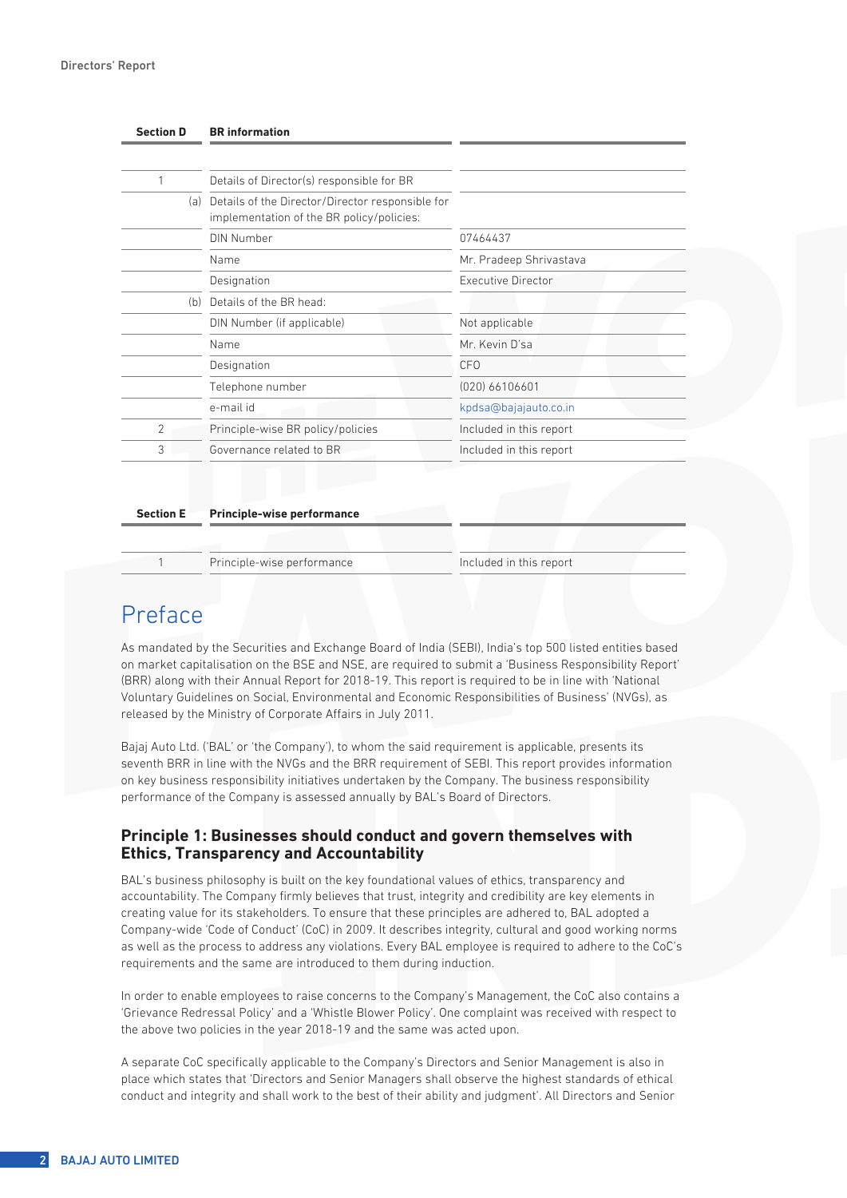| <b>Section D</b> | <b>BR</b> information                                                                             |                           |
|------------------|---------------------------------------------------------------------------------------------------|---------------------------|
|                  |                                                                                                   |                           |
| 1                | Details of Director(s) responsible for BR                                                         |                           |
|                  | (a) Details of the Director/Director responsible for<br>implementation of the BR policy/policies: |                           |
|                  | DIN Number                                                                                        | 07464437                  |
|                  | Name                                                                                              | Mr. Pradeep Shrivastava   |
|                  | Designation                                                                                       | <b>Executive Director</b> |
| (b)              | Details of the BR head:                                                                           |                           |
|                  | DIN Number (if applicable)                                                                        | Not applicable            |
|                  | Name                                                                                              | Mr. Kevin D'sa            |
|                  | Designation                                                                                       | <b>CFO</b>                |
|                  | Telephone number                                                                                  | $(020)$ 66106601          |
|                  | e-mail id                                                                                         | kpdsa@bajajauto.co.in     |
| $\overline{2}$   | Principle-wise BR policy/policies                                                                 | Included in this report   |
| 3                | Governance related to BR                                                                          | Included in this report   |

#### **Section E Principle-wise performance**

Principle-wise performance Included in this report

# Preface

As mandated by the Securities and Exchange Board of India (SEBI), India's top 500 listed entities based on market capitalisation on the BSE and NSE, are required to submit a 'Business Responsibility Report' (BRR) along with their Annual Report for 2018-19. This report is required to be in line with 'National Voluntary Guidelines on Social, Environmental and Economic Responsibilities of Business' (NVGs), as released by the Ministry of Corporate Affairs in July 2011.

Bajaj Auto Ltd. ('BAL' or 'the Company'), to whom the said requirement is applicable, presents its seventh BRR in line with the NVGs and the BRR requirement of SEBI. This report provides information on key business responsibility initiatives undertaken by the Company. The business responsibility performance of the Company is assessed annually by BAL's Board of Directors.

#### **Principle 1: Businesses should conduct and govern themselves with Ethics, Transparency and Accountability**

BAL's business philosophy is built on the key foundational values of ethics, transparency and accountability. The Company firmly believes that trust, integrity and credibility are key elements in creating value for its stakeholders. To ensure that these principles are adhered to, BAL adopted a Company-wide 'Code of Conduct' (CoC) in 2009. It describes integrity, cultural and good working norms as well as the process to address any violations. Every BAL employee is required to adhere to the CoC's requirements and the same are introduced to them during induction.

In order to enable employees to raise concerns to the Company's Management, the CoC also contains a 'Grievance Redressal Policy' and a 'Whistle Blower Policy'. One complaint was received with respect to the above two policies in the year 2018-19 and the same was acted upon.

A separate CoC specifically applicable to the Company's Directors and Senior Management is also in place which states that 'Directors and Senior Managers shall observe the highest standards of ethical conduct and integrity and shall work to the best of their ability and judgment'. All Directors and Senior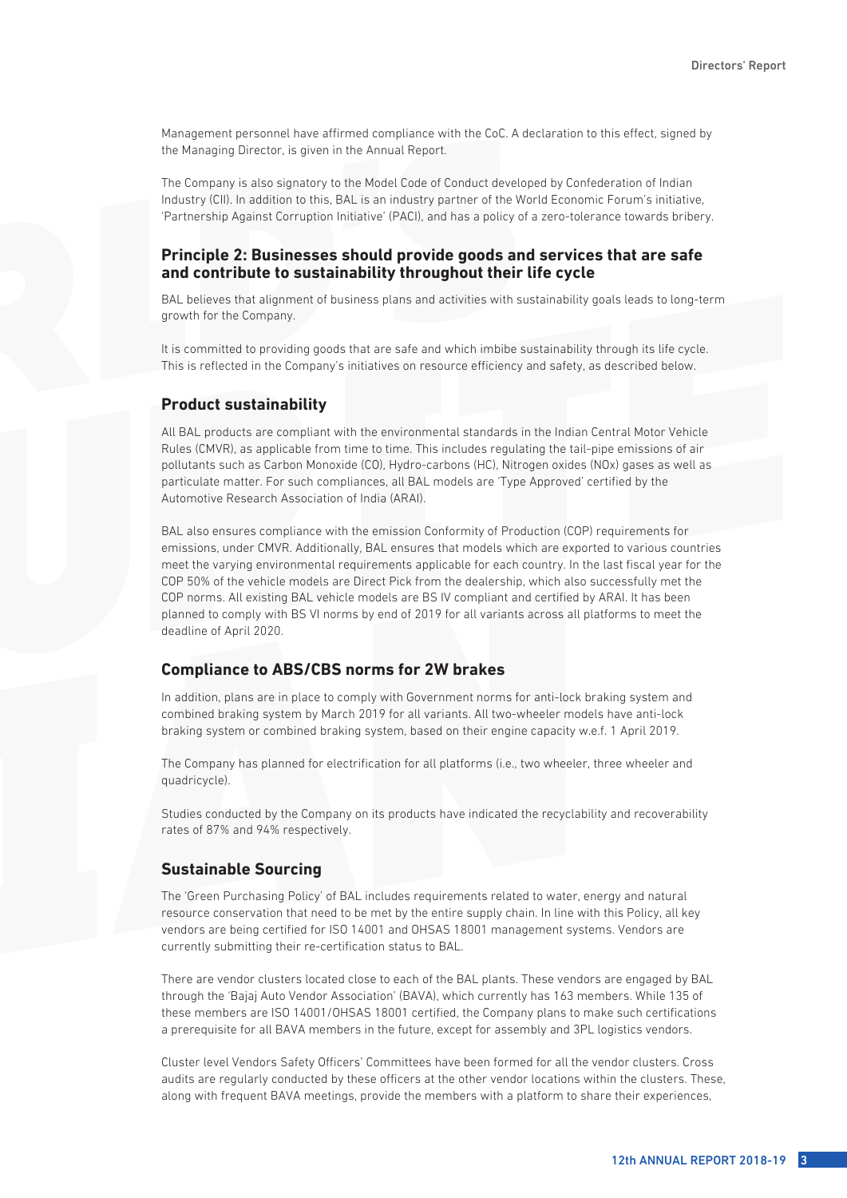Management personnel have affirmed compliance with the CoC. A declaration to this effect, signed by the Managing Director, is given in the Annual Report.

The Company is also signatory to the Model Code of Conduct developed by Confederation of Indian Industry (CII). In addition to this, BAL is an industry partner of the World Economic Forum's initiative, 'Partnership Against Corruption Initiative' (PACI), and has a policy of a zero-tolerance towards bribery.

#### **Principle 2: Businesses should provide goods and services that are safe and contribute to sustainability throughout their life cycle**

BAL believes that alignment of business plans and activities with sustainability goals leads to long-term growth for the Company.

It is committed to providing goods that are safe and which imbibe sustainability through its life cycle. This is reflected in the Company's initiatives on resource efficiency and safety, as described below.

#### **Product sustainability**

All BAL products are compliant with the environmental standards in the Indian Central Motor Vehicle Rules (CMVR), as applicable from time to time. This includes regulating the tail-pipe emissions of air pollutants such as Carbon Monoxide (CO), Hydro-carbons (HC), Nitrogen oxides (NOx) gases as well as particulate matter. For such compliances, all BAL models are 'Type Approved' certified by the Automotive Research Association of India (ARAI).

BAL also ensures compliance with the emission Conformity of Production (COP) requirements for emissions, under CMVR. Additionally, BAL ensures that models which are exported to various countries meet the varying environmental requirements applicable for each country. In the last fiscal year for the COP 50% of the vehicle models are Direct Pick from the dealership, which also successfully met the COP norms. All existing BAL vehicle models are BS IV compliant and certified by ARAI. It has been planned to comply with BS VI norms by end of 2019 for all variants across all platforms to meet the deadline of April 2020.

#### **Compliance to ABS/CBS norms for 2W brakes**

In addition, plans are in place to comply with Government norms for anti-lock braking system and combined braking system by March 2019 for all variants. All two-wheeler models have anti-lock braking system or combined braking system, based on their engine capacity w.e.f. 1 April 2019.

The Company has planned for electrification for all platforms (i.e., two wheeler, three wheeler and quadricycle).

Studies conducted by the Company on its products have indicated the recyclability and recoverability rates of 87% and 94% respectively.

#### **Sustainable Sourcing**

The 'Green Purchasing Policy' of BAL includes requirements related to water, energy and natural resource conservation that need to be met by the entire supply chain. In line with this Policy, all key vendors are being certified for ISO 14001 and OHSAS 18001 management systems. Vendors are currently submitting their re-certification status to BAL.

There are vendor clusters located close to each of the BAL plants. These vendors are engaged by BAL through the 'Bajaj Auto Vendor Association' (BAVA), which currently has 163 members. While 135 of these members are ISO 14001/OHSAS 18001 certified, the Company plans to make such certifications a prerequisite for all BAVA members in the future, except for assembly and 3PL logistics vendors.

Cluster level Vendors Safety Officers' Committees have been formed for all the vendor clusters. Cross audits are regularly conducted by these officers at the other vendor locations within the clusters. These, along with frequent BAVA meetings, provide the members with a platform to share their experiences,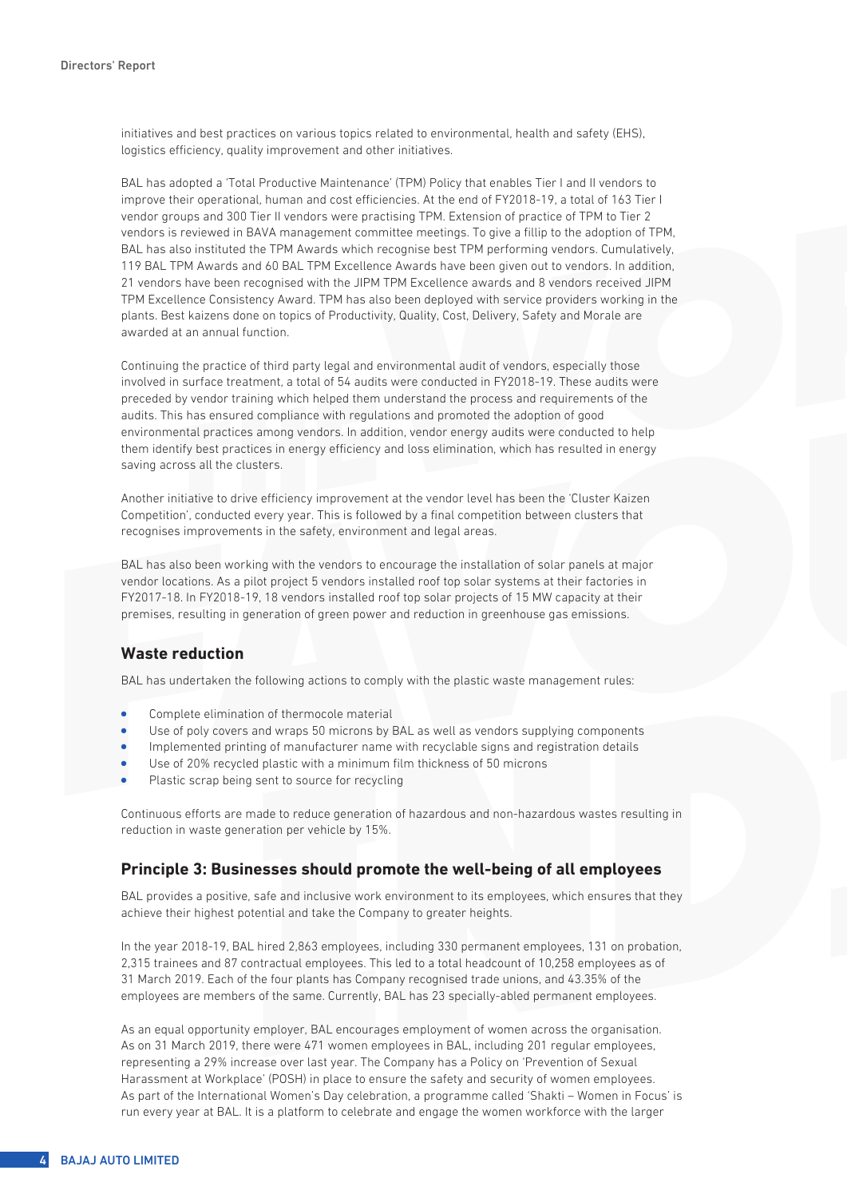initiatives and best practices on various topics related to environmental, health and safety (EHS), logistics efficiency, quality improvement and other initiatives.

BAL has adopted a 'Total Productive Maintenance' (TPM) Policy that enables Tier I and II vendors to improve their operational, human and cost efficiencies. At the end of FY2018-19, a total of 163 Tier I vendor groups and 300 Tier II vendors were practising TPM. Extension of practice of TPM to Tier 2 vendors is reviewed in BAVA management committee meetings. To give a fillip to the adoption of TPM, BAL has also instituted the TPM Awards which recognise best TPM performing vendors. Cumulatively, 119 BAL TPM Awards and 60 BAL TPM Excellence Awards have been given out to vendors. In addition, 21 vendors have been recognised with the JIPM TPM Excellence awards and 8 vendors received JIPM TPM Excellence Consistency Award. TPM has also been deployed with service providers working in the plants. Best kaizens done on topics of Productivity, Quality, Cost, Delivery, Safety and Morale are awarded at an annual function.

Continuing the practice of third party legal and environmental audit of vendors, especially those involved in surface treatment, a total of 54 audits were conducted in FY2018-19. These audits were preceded by vendor training which helped them understand the process and requirements of the audits. This has ensured compliance with regulations and promoted the adoption of good environmental practices among vendors. In addition, vendor energy audits were conducted to help them identify best practices in energy efficiency and loss elimination, which has resulted in energy saving across all the clusters.

Another initiative to drive efficiency improvement at the vendor level has been the 'Cluster Kaizen Competition', conducted every year. This is followed by a final competition between clusters that recognises improvements in the safety, environment and legal areas.

BAL has also been working with the vendors to encourage the installation of solar panels at major vendor locations. As a pilot project 5 vendors installed roof top solar systems at their factories in FY2017-18. In FY2018-19, 18 vendors installed roof top solar projects of 15 MW capacity at their premises, resulting in generation of green power and reduction in greenhouse gas emissions.

# **Waste reduction**

BAL has undertaken the following actions to comply with the plastic waste management rules:

- Complete elimination of thermocole material
- <sup>l</sup> Use of poly covers and wraps 50 microns by BAL as well as vendors supplying components
- <sup>l</sup> Implemented printing of manufacturer name with recyclable signs and registration details
- Use of 20% recycled plastic with a minimum film thickness of 50 microns
- Plastic scrap being sent to source for recycling

Continuous efforts are made to reduce generation of hazardous and non-hazardous wastes resulting in reduction in waste generation per vehicle by 15%.

#### **Principle 3: Businesses should promote the well-being of all employees**

BAL provides a positive, safe and inclusive work environment to its employees, which ensures that they achieve their highest potential and take the Company to greater heights.

In the year 2018-19, BAL hired 2,863 employees, including 330 permanent employees, 131 on probation, 2,315 trainees and 87 contractual employees. This led to a total headcount of 10,258 employees as of 31 March 2019. Each of the four plants has Company recognised trade unions, and 43.35% of the employees are members of the same. Currently, BAL has 23 specially-abled permanent employees.

As an equal opportunity employer, BAL encourages employment of women across the organisation. As on 31 March 2019, there were 471 women employees in BAL, including 201 regular employees, representing a 29% increase over last year. The Company has a Policy on 'Prevention of Sexual Harassment at Workplace' (POSH) in place to ensure the safety and security of women employees. As part of the International Women's Day celebration, a programme called 'Shakti – Women in Focus' is run every year at BAL. It is a platform to celebrate and engage the women workforce with the larger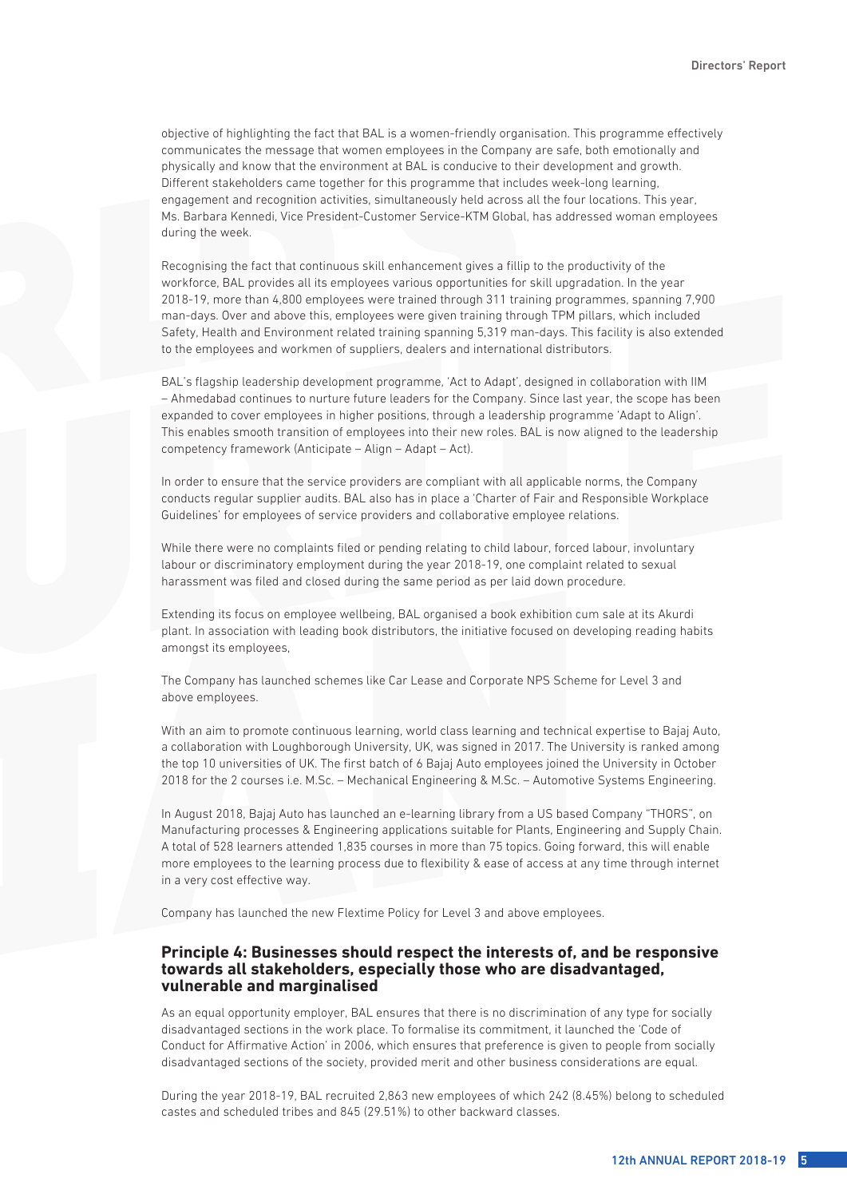objective of highlighting the fact that BAL is a women-friendly organisation. This programme effectively communicates the message that women employees in the Company are safe, both emotionally and physically and know that the environment at BAL is conducive to their development and growth. Different stakeholders came together for this programme that includes week-long learning, engagement and recognition activities, simultaneously held across all the four locations. This year, Ms. Barbara Kennedi, Vice President-Customer Service-KTM Global, has addressed woman employees during the week.

Recognising the fact that continuous skill enhancement gives a fillip to the productivity of the workforce, BAL provides all its employees various opportunities for skill upgradation. In the year 2018-19, more than 4,800 employees were trained through 311 training programmes, spanning 7,900 man-days. Over and above this, employees were given training through TPM pillars, which included Safety, Health and Environment related training spanning 5,319 man-days. This facility is also extended to the employees and workmen of suppliers, dealers and international distributors.

BAL's flagship leadership development programme, 'Act to Adapt', designed in collaboration with IIM – Ahmedabad continues to nurture future leaders for the Company. Since last year, the scope has been expanded to cover employees in higher positions, through a leadership programme 'Adapt to Align'. This enables smooth transition of employees into their new roles. BAL is now aligned to the leadership competency framework (Anticipate – Align – Adapt – Act).

In order to ensure that the service providers are compliant with all applicable norms, the Company conducts regular supplier audits. BAL also has in place a 'Charter of Fair and Responsible Workplace Guidelines' for employees of service providers and collaborative employee relations.

While there were no complaints filed or pending relating to child labour, forced labour, involuntary labour or discriminatory employment during the year 2018-19, one complaint related to sexual harassment was filed and closed during the same period as per laid down procedure.

Extending its focus on employee wellbeing, BAL organised a book exhibition cum sale at its Akurdi plant. In association with leading book distributors, the initiative focused on developing reading habits amongst its employees,

The Company has launched schemes like Car Lease and Corporate NPS Scheme for Level 3 and above employees.

With an aim to promote continuous learning, world class learning and technical expertise to Bajaj Auto, a collaboration with Loughborough University, UK, was signed in 2017. The University is ranked among the top 10 universities of UK. The first batch of 6 Bajaj Auto employees joined the University in October 2018 for the 2 courses i.e. M.Sc. – Mechanical Engineering & M.Sc. – Automotive Systems Engineering.

In August 2018, Bajaj Auto has launched an e-learning library from a US based Company "THORS", on Manufacturing processes & Engineering applications suitable for Plants, Engineering and Supply Chain. A total of 528 learners attended 1,835 courses in more than 75 topics. Going forward, this will enable more employees to the learning process due to flexibility & ease of access at any time through internet in a very cost effective way.

Company has launched the new Flextime Policy for Level 3 and above employees.

#### **Principle 4: Businesses should respect the interests of, and be responsive towards all stakeholders, especially those who are disadvantaged, vulnerable and marginalised**

As an equal opportunity employer, BAL ensures that there is no discrimination of any type for socially disadvantaged sections in the work place. To formalise its commitment, it launched the 'Code of Conduct for Affirmative Action' in 2006, which ensures that preference is given to people from socially disadvantaged sections of the society, provided merit and other business considerations are equal.

During the year 2018-19, BAL recruited 2,863 new employees of which 242 (8.45%) belong to scheduled castes and scheduled tribes and 845 (29.51%) to other backward classes.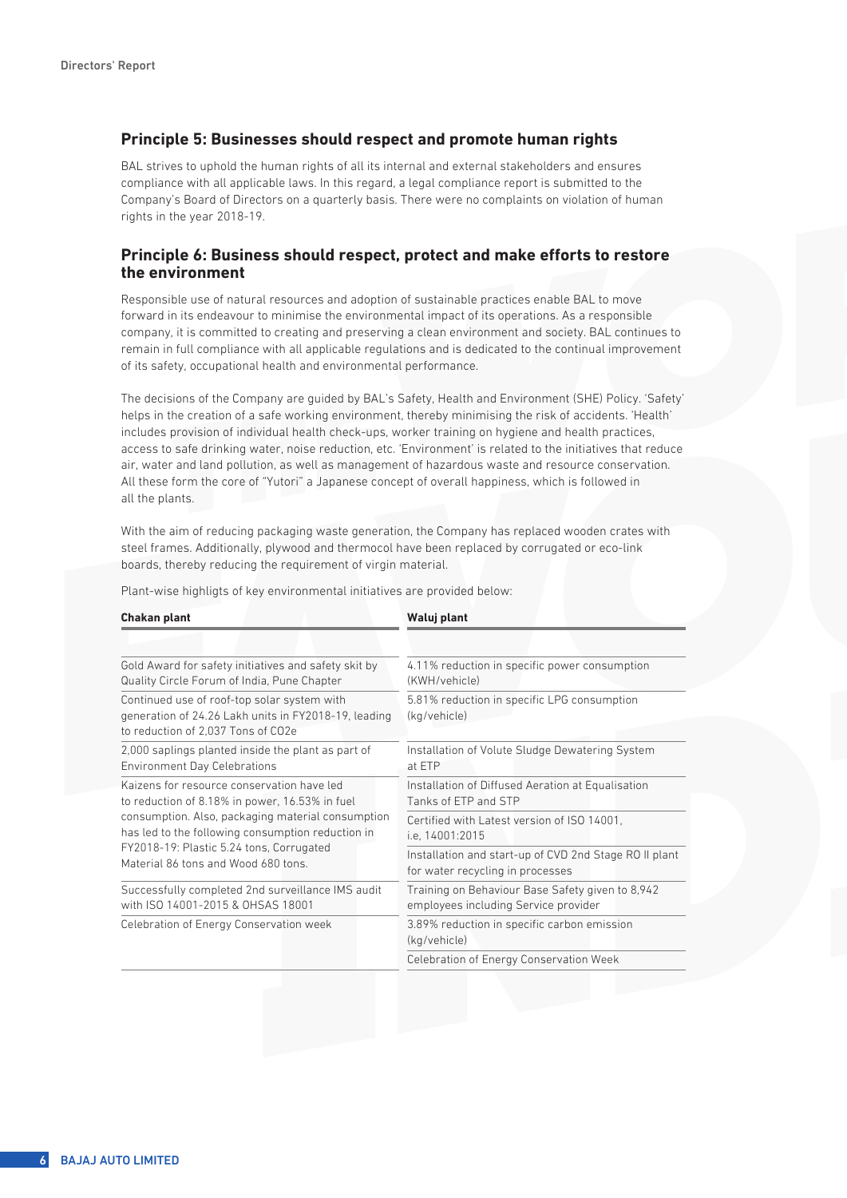#### **Principle 5: Businesses should respect and promote human rights**

BAL strives to uphold the human rights of all its internal and external stakeholders and ensures compliance with all applicable laws. In this regard, a legal compliance report is submitted to the Company's Board of Directors on a quarterly basis. There were no complaints on violation of human rights in the year 2018-19.

#### **Principle 6: Business should respect, protect and make efforts to restore the environment**

Responsible use of natural resources and adoption of sustainable practices enable BAL to move forward in its endeavour to minimise the environmental impact of its operations. As a responsible company, it is committed to creating and preserving a clean environment and society. BAL continues to remain in full compliance with all applicable regulations and is dedicated to the continual improvement of its safety, occupational health and environmental performance.

The decisions of the Company are guided by BAL's Safety, Health and Environment (SHE) Policy. 'Safety' helps in the creation of a safe working environment, thereby minimising the risk of accidents. 'Health' includes provision of individual health check-ups, worker training on hygiene and health practices, access to safe drinking water, noise reduction, etc. 'Environment' is related to the initiatives that reduce air, water and land pollution, as well as management of hazardous waste and resource conservation. All these form the core of "Yutori" a Japanese concept of overall happiness, which is followed in all the plants.

With the aim of reducing packaging waste generation, the Company has replaced wooden crates with steel frames. Additionally, plywood and thermocol have been replaced by corrugated or eco-link boards, thereby reducing the requirement of virgin material.

| Chakan plant                                                                                                                              | Waluj plant                                                 |  |
|-------------------------------------------------------------------------------------------------------------------------------------------|-------------------------------------------------------------|--|
|                                                                                                                                           |                                                             |  |
| Gold Award for safety initiatives and safety skit by                                                                                      | 4.11% reduction in specific power consumption               |  |
| Quality Circle Forum of India, Pune Chapter                                                                                               | (KWH/vehicle)                                               |  |
| Continued use of roof-top solar system with<br>generation of 24.26 Lakh units in FY2018-19, leading<br>to reduction of 2,037 Tons of CO2e | 5.81% reduction in specific LPG consumption<br>(kg/vehicle) |  |
| 2,000 saplings planted inside the plant as part of                                                                                        | Installation of Volute Sludge Dewatering System             |  |
| <b>Environment Day Celebrations</b>                                                                                                       | at ETP                                                      |  |
| Kaizens for resource conservation have led                                                                                                | Installation of Diffused Aeration at Equalisation           |  |
| to reduction of 8.18% in power, 16.53% in fuel                                                                                            | Tanks of FTP and STP                                        |  |
| consumption. Also, packaging material consumption                                                                                         | Certified with Latest version of ISO 14001.                 |  |
| has led to the following consumption reduction in                                                                                         | i.e. 14001:2015                                             |  |
| FY2018-19: Plastic 5.24 tons, Corrugated                                                                                                  | Installation and start-up of CVD 2nd Stage RO II plant      |  |
| Material 86 tons and Wood 680 tons.                                                                                                       | for water recycling in processes                            |  |
| Successfully completed 2nd surveillance IMS audit                                                                                         | Training on Behaviour Base Safety given to 8,942            |  |
| with ISO 14001-2015 & OHSAS 18001                                                                                                         | employees including Service provider                        |  |
| Celebration of Energy Conservation week                                                                                                   | 3.89% reduction in specific carbon emission<br>(kg/vehicle) |  |
|                                                                                                                                           | Celebration of Energy Conservation Week                     |  |

Plant-wise highligts of key environmental initiatives are provided below: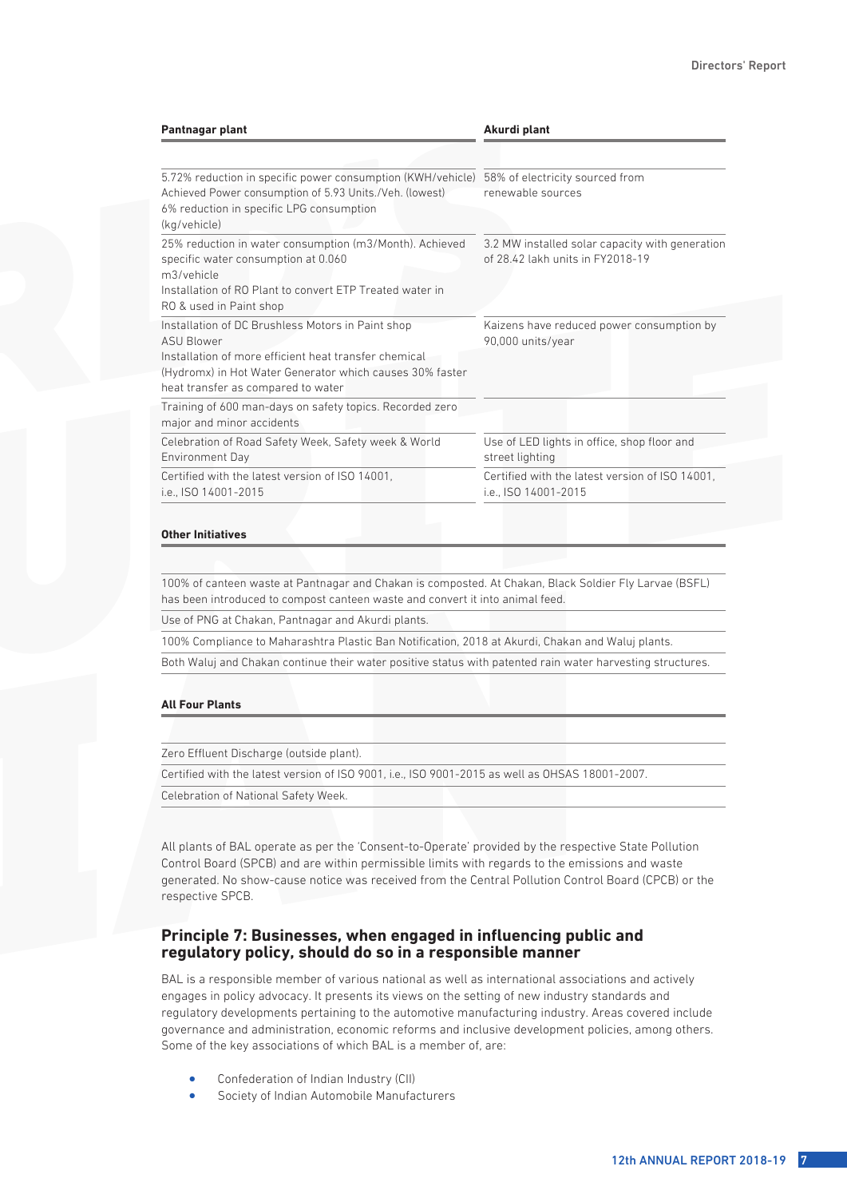| Pantnagar plant                                                                                                                                                                                                                   | Akurdi plant<br>58% of electricity sourced from<br>renewable sources                |
|-----------------------------------------------------------------------------------------------------------------------------------------------------------------------------------------------------------------------------------|-------------------------------------------------------------------------------------|
| 5.72% reduction in specific power consumption (KWH/vehicle)<br>Achieved Power consumption of 5.93 Units./Veh. (lowest)<br>6% reduction in specific LPG consumption<br>(kg/vehicle)                                                |                                                                                     |
| 25% reduction in water consumption (m3/Month). Achieved<br>specific water consumption at 0.060<br>m3/vehicle<br>Installation of RO Plant to convert ETP Treated water in<br>RO & used in Paint shop                               | 3.2 MW installed solar capacity with generation<br>of 28.42 lakh units in FY2018-19 |
| Installation of DC Brushless Motors in Paint shop<br><b>ASU Blower</b><br>Installation of more efficient heat transfer chemical<br>(Hydromx) in Hot Water Generator which causes 30% faster<br>heat transfer as compared to water | Kaizens have reduced power consumption by<br>90,000 units/year                      |
| Training of 600 man-days on safety topics. Recorded zero<br>major and minor accidents                                                                                                                                             |                                                                                     |
| Celebration of Road Safety Week, Safety week & World<br>Environment Day                                                                                                                                                           | Use of LED lights in office, shop floor and<br>street lighting                      |
| Certified with the latest version of ISO 14001.<br>i.e., ISO 14001-2015                                                                                                                                                           | Certified with the latest version of ISO 14001.<br>i.e., ISO 14001-2015             |

#### **Other Initiatives**

100% of canteen waste at Pantnagar and Chakan is composted. At Chakan, Black Soldier Fly Larvae (BSFL) has been introduced to compost canteen waste and convert it into animal feed.

Use of PNG at Chakan, Pantnagar and Akurdi plants.

100% Compliance to Maharashtra Plastic Ban Notification, 2018 at Akurdi, Chakan and Waluj plants.

Both Waluj and Chakan continue their water positive status with patented rain water harvesting structures.

#### **All Four Plants**

Zero Effluent Discharge (outside plant).

Certified with the latest version of ISO 9001, i.e., ISO 9001-2015 as well as OHSAS 18001-2007.

Celebration of National Safety Week.

All plants of BAL operate as per the 'Consent-to-Operate' provided by the respective State Pollution Control Board (SPCB) and are within permissible limits with regards to the emissions and waste generated. No show-cause notice was received from the Central Pollution Control Board (CPCB) or the respective SPCB.

#### **Principle 7: Businesses, when engaged in influencing public and regulatory policy, should do so in a responsible manner**

BAL is a responsible member of various national as well as international associations and actively engages in policy advocacy. It presents its views on the setting of new industry standards and regulatory developments pertaining to the automotive manufacturing industry. Areas covered include governance and administration, economic reforms and inclusive development policies, among others. Some of the key associations of which BAL is a member of, are:

- Confederation of Indian Industry (CII)
- Society of Indian Automobile Manufacturers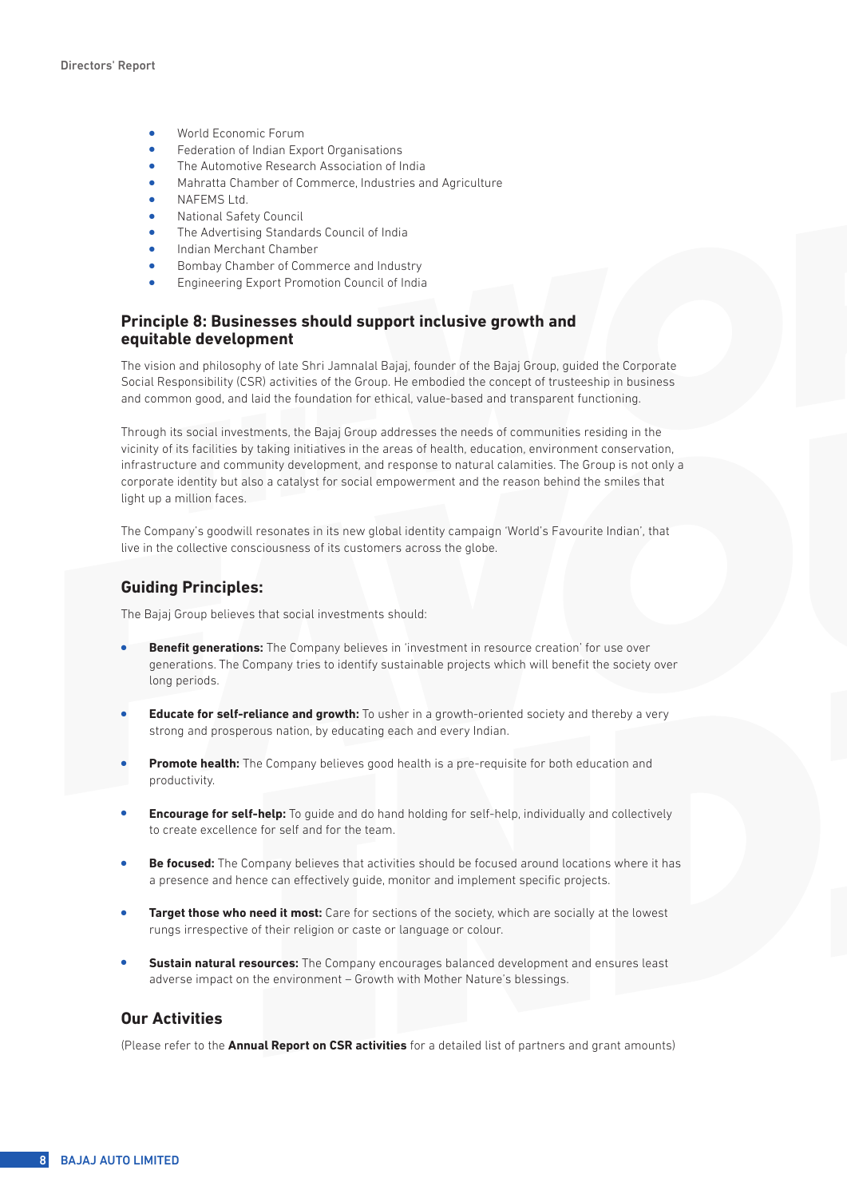- **•** World Economic Forum
- Federation of Indian Export Organisations
- The Automotive Research Association of India
- <sup>l</sup> Mahratta Chamber of Commerce, Industries and Agriculture
- NAFEMS Ltd.
- <sup>l</sup> National Safety Council
- The Advertising Standards Council of India
- Indian Merchant Chamber
- <sup>l</sup> Bombay Chamber of Commerce and Industry
- <sup>l</sup> Engineering Export Promotion Council of India

#### **Principle 8: Businesses should support inclusive growth and equitable development**

The vision and philosophy of late Shri Jamnalal Bajaj, founder of the Bajaj Group, guided the Corporate Social Responsibility (CSR) activities of the Group. He embodied the concept of trusteeship in business and common good, and laid the foundation for ethical, value-based and transparent functioning.

Through its social investments, the Bajaj Group addresses the needs of communities residing in the vicinity of its facilities by taking initiatives in the areas of health, education, environment conservation, infrastructure and community development, and response to natural calamities. The Group is not only a corporate identity but also a catalyst for social empowerment and the reason behind the smiles that light up a million faces.

The Company's goodwill resonates in its new global identity campaign 'World's Favourite Indian', that live in the collective consciousness of its customers across the globe.

#### **Guiding Principles:**

The Bajaj Group believes that social investments should:

- **Benefit generations:** The Company believes in 'investment in resource creation' for use over generations. The Company tries to identify sustainable projects which will benefit the society over long periods.
- **Educate for self-reliance and growth:** To usher in a growth-oriented society and thereby a very strong and prosperous nation, by educating each and every Indian.
- **Promote health:** The Company believes good health is a pre-requisite for both education and productivity.
- **Encourage for self-help:** To guide and do hand holding for self-help, individually and collectively to create excellence for self and for the team.
- **Be focused:** The Company believes that activities should be focused around locations where it has a presence and hence can effectively guide, monitor and implement specific projects.
- **Target those who need it most:** Care for sections of the society, which are socially at the lowest rungs irrespective of their religion or caste or language or colour.
- **Sustain natural resources:** The Company encourages balanced development and ensures least adverse impact on the environment – Growth with Mother Nature's blessings.

#### **Our Activities**

(Please refer to the **Annual Report on CSR activities** for a detailed list of partners and grant amounts)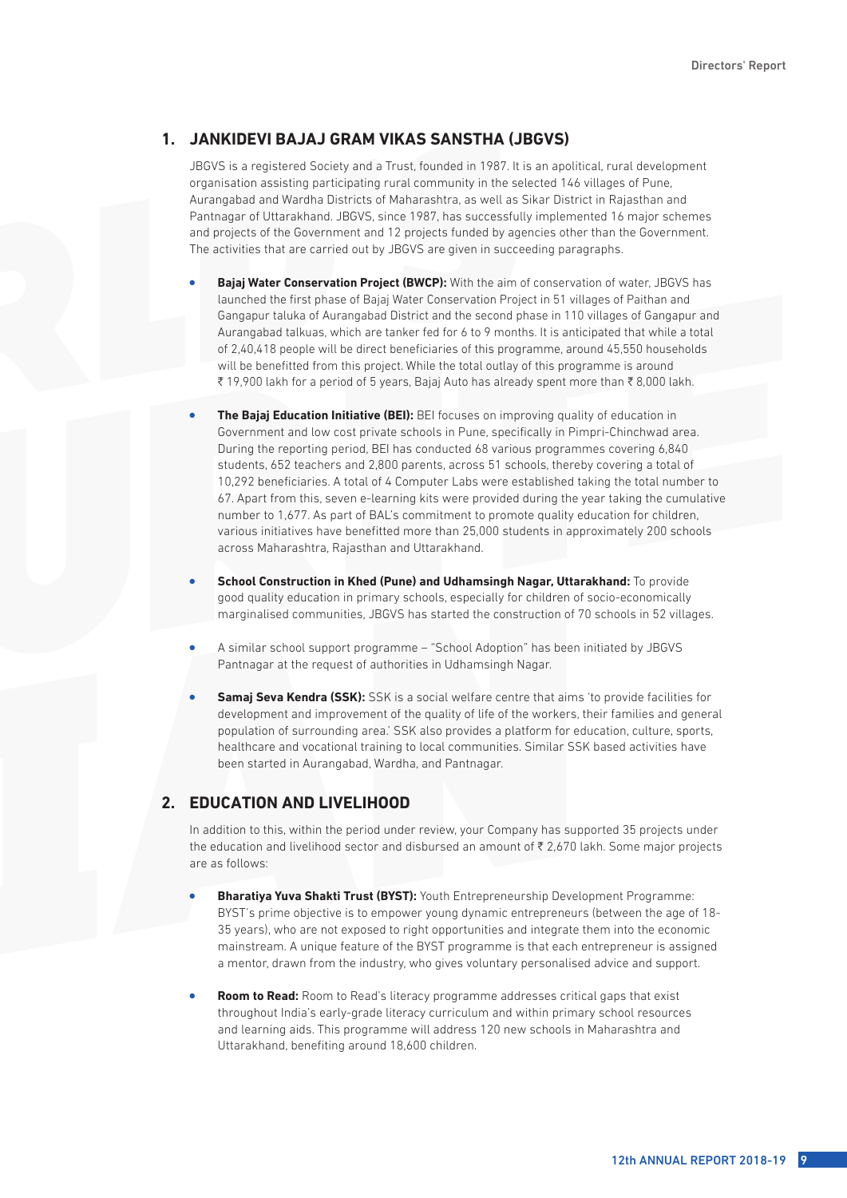#### **1. JANKIDEVI BAJAJ GRAM VIKAS SANSTHA (JBGVS)**

JBGVS is a registered Society and a Trust, founded in 1987. It is an apolitical, rural development organisation assisting participating rural community in the selected 146 villages of Pune, Aurangabad and Wardha Districts of Maharashtra, as well as Sikar District in Rajasthan and Pantnagar of Uttarakhand. JBGVS, since 1987, has successfully implemented 16 major schemes and projects of the Government and 12 projects funded by agencies other than the Government. The activities that are carried out by JBGVS are given in succeeding paragraphs.

- **Bajaj Water Conservation Project (BWCP):** With the aim of conservation of water, JBGVS has launched the first phase of Bajaj Water Conservation Project in 51 villages of Paithan and Gangapur taluka of Aurangabad District and the second phase in 110 villages of Gangapur and Aurangabad talkuas, which are tanker fed for 6 to 9 months. It is anticipated that while a total of 2,40,418 people will be direct beneficiaries of this programme, around 45,550 households will be benefitted from this project. While the total outlay of this programme is around ₹ 19,900 lakh for a period of 5 years, Bajaj Auto has already spent more than ₹ 8,000 lakh.
- **The Bajaj Education Initiative (BEI):** BEI focuses on improving quality of education in Government and low cost private schools in Pune, specifically in Pimpri-Chinchwad area. During the reporting period, BEI has conducted 68 various programmes covering 6,840 students, 652 teachers and 2,800 parents, across 51 schools, thereby covering a total of 10,292 beneficiaries. A total of 4 Computer Labs were established taking the total number to 67. Apart from this, seven e-learning kits were provided during the year taking the cumulative number to 1,677. As part of BAL's commitment to promote quality education for children, various initiatives have benefitted more than 25,000 students in approximately 200 schools across Maharashtra, Rajasthan and Uttarakhand.
- **School Construction in Khed (Pune) and Udhamsingh Nagar, Uttarakhand:** To provide good quality education in primary schools, especially for children of socio-economically marginalised communities, JBGVS has started the construction of 70 schools in 52 villages.
- <sup>l</sup> A similar school support programme "School Adoption" has been initiated by JBGVS Pantnagar at the request of authorities in Udhamsingh Nagar.
- **Samaj Seva Kendra (SSK):** SSK is a social welfare centre that aims 'to provide facilities for development and improvement of the quality of life of the workers, their families and general population of surrounding area.' SSK also provides a platform for education, culture, sports, healthcare and vocational training to local communities. Similar SSK based activities have been started in Aurangabad, Wardha, and Pantnagar.

#### **2. EDUCATION AND LIVELIHOOD**

In addition to this, within the period under review, your Company has supported 35 projects under the education and livelihood sector and disbursed an amount of  $\bar{\tau}$  2,670 lakh. Some major projects are as follows:

- **Bharativa Yuva Shakti Trust (BYST):** Youth Entrepreneurship Development Programme: BYST's prime objective is to empower young dynamic entrepreneurs (between the age of 18- 35 years), who are not exposed to right opportunities and integrate them into the economic mainstream. A unique feature of the BYST programme is that each entrepreneur is assigned a mentor, drawn from the industry, who gives voluntary personalised advice and support.
- Room to Read: Room to Read's literacy programme addresses critical gaps that exist throughout India's early-grade literacy curriculum and within primary school resources and learning aids. This programme will address 120 new schools in Maharashtra and Uttarakhand, benefiting around 18,600 children.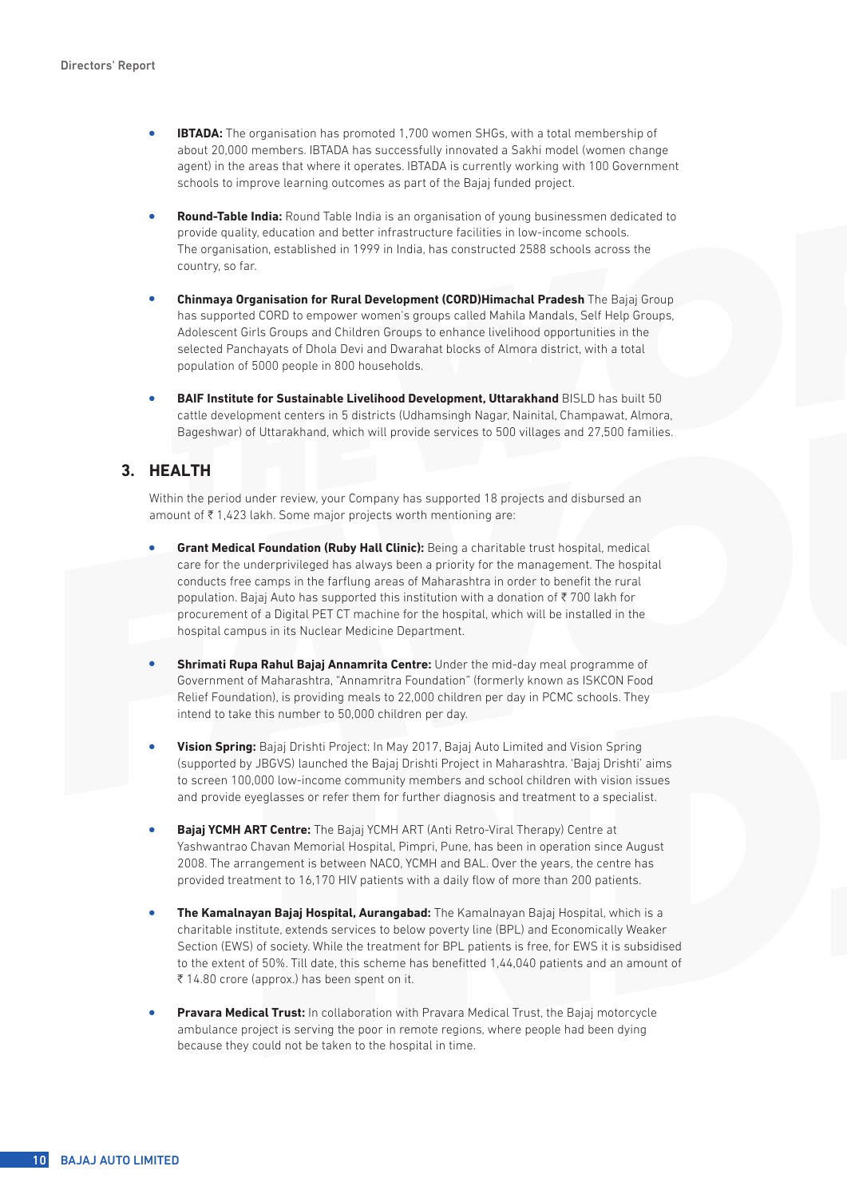- **IBTADA:** The organisation has promoted 1,700 women SHGs, with a total membership of about 20,000 members. IBTADA has successfully innovated a Sakhi model (women change agent) in the areas that where it operates. IBTADA is currently working with 100 Government schools to improve learning outcomes as part of the Bajaj funded project.
- **Round-Table India:** Round Table India is an organisation of young businessmen dedicated to provide quality, education and better infrastructure facilities in low-income schools. The organisation, established in 1999 in India, has constructed 2588 schools across the country, so far.
- <sup>l</sup> **Chinmaya Organisation for Rural Development (CORD)Himachal Pradesh** The Bajaj Group has supported CORD to empower women's groups called Mahila Mandals, Self Help Groups, Adolescent Girls Groups and Children Groups to enhance livelihood opportunities in the selected Panchayats of Dhola Devi and Dwarahat blocks of Almora district, with a total population of 5000 people in 800 households.
- **BAIF Institute for Sustainable Livelihood Development, Uttarakhand BISLD has built 50** cattle development centers in 5 districts (Udhamsingh Nagar, Nainital, Champawat, Almora, Bageshwar) of Uttarakhand, which will provide services to 500 villages and 27,500 families.

### **3. HEALTH**

Within the period under review, your Company has supported 18 projects and disbursed an amount of  $\bar{\tau}$  1,423 lakh. Some major projects worth mentioning are:

- **Grant Medical Foundation (Ruby Hall Clinic):** Being a charitable trust hospital, medical care for the underprivileged has always been a priority for the management. The hospital conducts free camps in the farflung areas of Maharashtra in order to benefit the rural population. Bajaj Auto has supported this institution with a donation of  $\bar{\tau}$  700 lakh for procurement of a Digital PET CT machine for the hospital, which will be installed in the hospital campus in its Nuclear Medicine Department.
- **Shrimati Rupa Rahul Bajaj Annamrita Centre:** Under the mid-day meal programme of Government of Maharashtra, "Annamritra Foundation" (formerly known as ISKCON Food Relief Foundation), is providing meals to 22,000 children per day in PCMC schools. They intend to take this number to 50,000 children per day.
- **Vision Spring:** Bajaj Drishti Project: In May 2017, Bajaj Auto Limited and Vision Spring (supported by JBGVS) launched the Bajaj Drishti Project in Maharashtra. 'Bajaj Drishti' aims to screen 100,000 low-income community members and school children with vision issues and provide eyeglasses or refer them for further diagnosis and treatment to a specialist.
- **Bajaj YCMH ART Centre:** The Bajaj YCMH ART (Anti Retro-Viral Therapy) Centre at Yashwantrao Chavan Memorial Hospital, Pimpri, Pune, has been in operation since August 2008. The arrangement is between NACO, YCMH and BAL. Over the years, the centre has provided treatment to 16,170 HIV patients with a daily flow of more than 200 patients.
- <sup>l</sup> **The Kamalnayan Bajaj Hospital, Aurangabad:** The Kamalnayan Bajaj Hospital, which is a charitable institute, extends services to below poverty line (BPL) and Economically Weaker Section (EWS) of society. While the treatment for BPL patients is free, for EWS it is subsidised to the extent of 50%. Till date, this scheme has benefitted 1,44,040 patients and an amount of  $\bar{\tau}$  14.80 crore (approx.) has been spent on it.
- **Pravara Medical Trust:** In collaboration with Pravara Medical Trust, the Bajaj motorcycle ambulance project is serving the poor in remote regions, where people had been dying because they could not be taken to the hospital in time.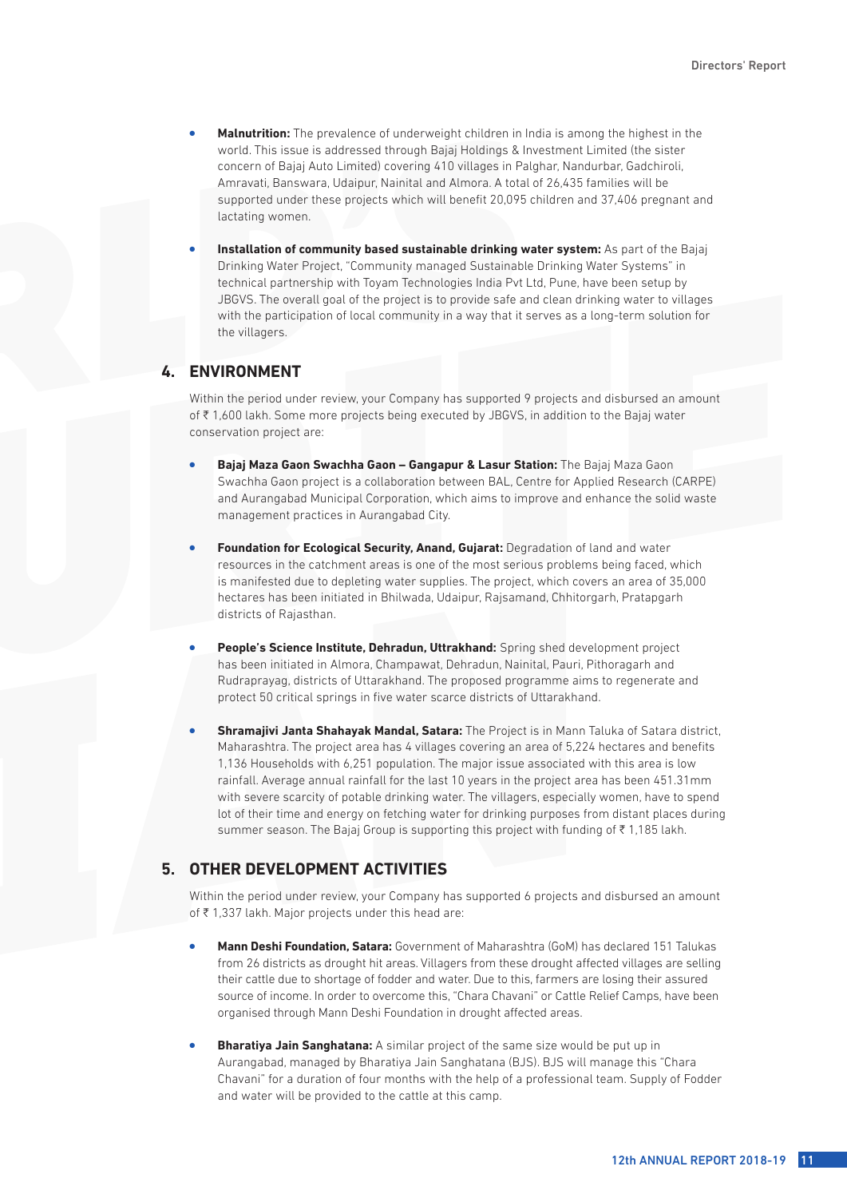- Malnutrition: The prevalence of underweight children in India is among the highest in the world. This issue is addressed through Bajaj Holdings & Investment Limited (the sister concern of Bajaj Auto Limited) covering 410 villages in Palghar, Nandurbar, Gadchiroli, Amravati, Banswara, Udaipur, Nainital and Almora. A total of 26,435 families will be supported under these projects which will benefit 20,095 children and 37,406 pregnant and lactating women.
- Installation of community based sustainable drinking water system: As part of the Bajaj Drinking Water Project, "Community managed Sustainable Drinking Water Systems" in technical partnership with Toyam Technologies India Pvt Ltd, Pune, have been setup by JBGVS. The overall goal of the project is to provide safe and clean drinking water to villages with the participation of local community in a way that it serves as a long-term solution for the villagers.

### **4. ENVIRONMENT**

Within the period under review, your Company has supported 9 projects and disbursed an amount of H 1,600 lakh. Some more projects being executed by JBGVS, in addition to the Bajaj water conservation project are:

- <sup>l</sup> **Bajaj Maza Gaon Swachha Gaon Gangapur & Lasur Station:** The Bajaj Maza Gaon Swachha Gaon project is a collaboration between BAL, Centre for Applied Research (CARPE) and Aurangabad Municipal Corporation, which aims to improve and enhance the solid waste management practices in Aurangabad City.
- **Foundation for Ecological Security, Anand, Gujarat: Degradation of land and water** resources in the catchment areas is one of the most serious problems being faced, which is manifested due to depleting water supplies. The project, which covers an area of 35,000 hectares has been initiated in Bhilwada, Udaipur, Rajsamand, Chhitorgarh, Pratapgarh districts of Rajasthan.
- <sup>l</sup> **People's Science Institute, Dehradun, Uttrakhand:** Spring shed development project has been initiated in Almora, Champawat, Dehradun, Nainital, Pauri, Pithoragarh and Rudraprayag, districts of Uttarakhand. The proposed programme aims to regenerate and protect 50 critical springs in five water scarce districts of Uttarakhand.
- <sup>l</sup> **Shramajivi Janta Shahayak Mandal, Satara:** The Project is in Mann Taluka of Satara district, Maharashtra. The project area has 4 villages covering an area of 5,224 hectares and benefits 1,136 Households with 6,251 population. The major issue associated with this area is low rainfall. Average annual rainfall for the last 10 years in the project area has been 451.31mm with severe scarcity of potable drinking water. The villagers, especially women, have to spend lot of their time and energy on fetching water for drinking purposes from distant places during summer season. The Bajaj Group is supporting this project with funding of  $\bar{\tau}$  1,185 lakh.

# **5. OTHER DEVELOPMENT ACTIVITIES**

Within the period under review, your Company has supported 6 projects and disbursed an amount of  $\bar{\tau}$  1,337 lakh. Major projects under this head are:

- <sup>l</sup> **Mann Deshi Foundation, Satara:** Government of Maharashtra (GoM) has declared 151 Talukas from 26 districts as drought hit areas. Villagers from these drought affected villages are selling their cattle due to shortage of fodder and water. Due to this, farmers are losing their assured source of income. In order to overcome this, "Chara Chavani" or Cattle Relief Camps, have been organised through Mann Deshi Foundation in drought affected areas.
- **Bharatiya Jain Sanghatana:** A similar project of the same size would be put up in Aurangabad, managed by Bharatiya Jain Sanghatana (BJS). BJS will manage this "Chara Chavani" for a duration of four months with the help of a professional team. Supply of Fodder and water will be provided to the cattle at this camp.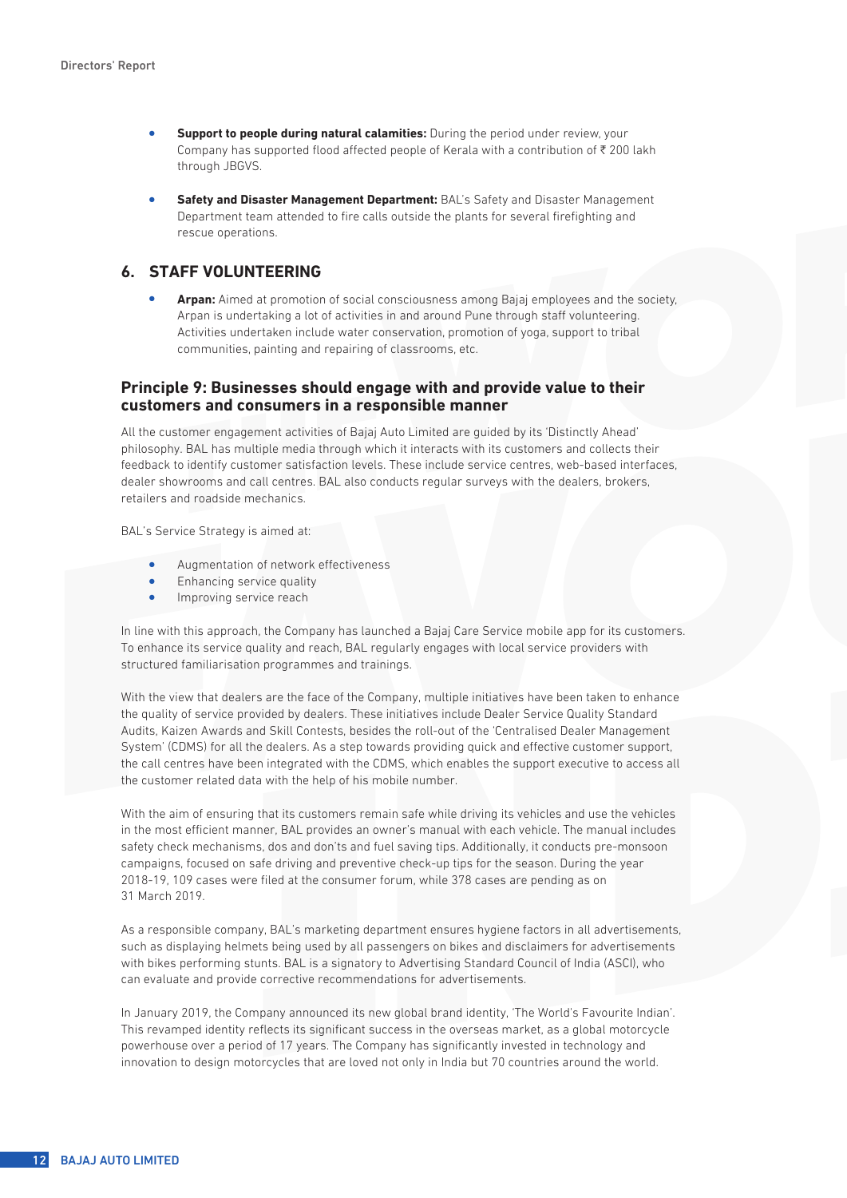- **Support to people during natural calamities:** During the period under review, your Company has supported flood affected people of Kerala with a contribution of  $\bar{\tau}$  200 lakh through JBGVS.
- **Safety and Disaster Management Department:** BAL's Safety and Disaster Management Department team attended to fire calls outside the plants for several firefighting and rescue operations.

### **6. STAFF VOLUNTEERING**

Arpan: Aimed at promotion of social consciousness among Bajaj employees and the society, Arpan is undertaking a lot of activities in and around Pune through staff volunteering. Activities undertaken include water conservation, promotion of yoga, support to tribal communities, painting and repairing of classrooms, etc.

#### **Principle 9: Businesses should engage with and provide value to their customers and consumers in a responsible manner**

All the customer engagement activities of Bajaj Auto Limited are guided by its 'Distinctly Ahead' philosophy. BAL has multiple media through which it interacts with its customers and collects their feedback to identify customer satisfaction levels. These include service centres, web-based interfaces, dealer showrooms and call centres. BAL also conducts regular surveys with the dealers, brokers, retailers and roadside mechanics.

BAL's Service Strategy is aimed at:

- Augmentation of network effectiveness
- **Enhancing service quality**
- Improving service reach

In line with this approach, the Company has launched a Bajaj Care Service mobile app for its customers. To enhance its service quality and reach, BAL regularly engages with local service providers with structured familiarisation programmes and trainings.

With the view that dealers are the face of the Company, multiple initiatives have been taken to enhance the quality of service provided by dealers. These initiatives include Dealer Service Quality Standard Audits, Kaizen Awards and Skill Contests, besides the roll-out of the 'Centralised Dealer Management System' (CDMS) for all the dealers. As a step towards providing quick and effective customer support, the call centres have been integrated with the CDMS, which enables the support executive to access all the customer related data with the help of his mobile number.

With the aim of ensuring that its customers remain safe while driving its vehicles and use the vehicles in the most efficient manner, BAL provides an owner's manual with each vehicle. The manual includes safety check mechanisms, dos and don'ts and fuel saving tips. Additionally, it conducts pre-monsoon campaigns, focused on safe driving and preventive check-up tips for the season. During the year 2018-19, 109 cases were filed at the consumer forum, while 378 cases are pending as on 31 March 2019.

As a responsible company, BAL's marketing department ensures hygiene factors in all advertisements, such as displaying helmets being used by all passengers on bikes and disclaimers for advertisements with bikes performing stunts. BAL is a signatory to Advertising Standard Council of India (ASCI), who can evaluate and provide corrective recommendations for advertisements.

In January 2019, the Company announced its new global brand identity, 'The World's Favourite Indian'. This revamped identity reflects its significant success in the overseas market, as a global motorcycle powerhouse over a period of 17 years. The Company has significantly invested in technology and innovation to design motorcycles that are loved not only in India but 70 countries around the world.